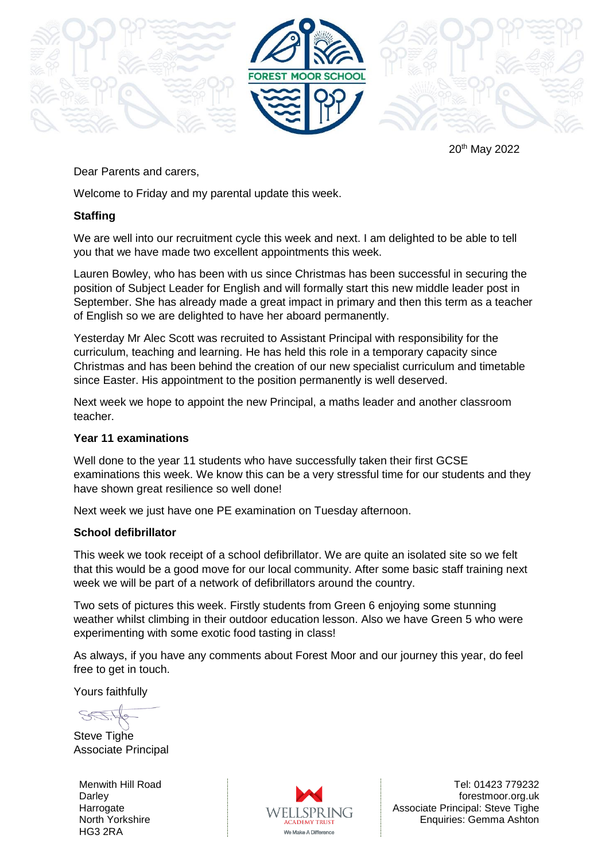

20th May 2022

## Dear Parents and carers,

Welcome to Friday and my parental update this week.

## **Staffing**

We are well into our recruitment cycle this week and next. I am delighted to be able to tell you that we have made two excellent appointments this week.

Lauren Bowley, who has been with us since Christmas has been successful in securing the position of Subject Leader for English and will formally start this new middle leader post in September. She has already made a great impact in primary and then this term as a teacher of English so we are delighted to have her aboard permanently.

Yesterday Mr Alec Scott was recruited to Assistant Principal with responsibility for the curriculum, teaching and learning. He has held this role in a temporary capacity since Christmas and has been behind the creation of our new specialist curriculum and timetable since Easter. His appointment to the position permanently is well deserved.

Next week we hope to appoint the new Principal, a maths leader and another classroom teacher.

## **Year 11 examinations**

Well done to the year 11 students who have successfully taken their first GCSE examinations this week. We know this can be a very stressful time for our students and they have shown great resilience so well done!

Next week we just have one PE examination on Tuesday afternoon.

## **School defibrillator**

This week we took receipt of a school defibrillator. We are quite an isolated site so we felt that this would be a good move for our local community. After some basic staff training next week we will be part of a network of defibrillators around the country.

Two sets of pictures this week. Firstly students from Green 6 enjoying some stunning weather whilst climbing in their outdoor education lesson. Also we have Green 5 who were experimenting with some exotic food tasting in class!

As always, if you have any comments about Forest Moor and our journey this year, do feel free to get in touch.

Yours faithfully

Steve Tighe Associate Principal

Menwith Hill Road **Darley Harrogate** North Yorkshire HG3 2RA



Tel: 01423 779232 forestmoor.org.uk Associate Principal: Steve Tighe Enquiries: Gemma Ashton